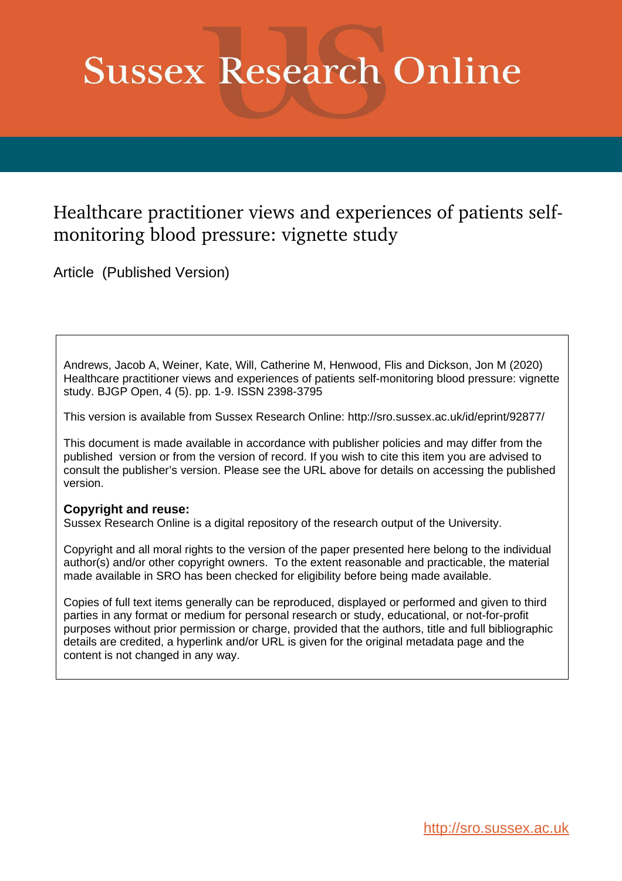# **Sussex Research Online**

# Healthcare practitioner views and experiences of patients selfmonitoring blood pressure: vignette study

Article (Published Version)

Andrews, Jacob A, Weiner, Kate, Will, Catherine M, Henwood, Flis and Dickson, Jon M (2020) Healthcare practitioner views and experiences of patients self-monitoring blood pressure: vignette study. BJGP Open, 4 (5). pp. 1-9. ISSN 2398-3795

This version is available from Sussex Research Online: http://sro.sussex.ac.uk/id/eprint/92877/

This document is made available in accordance with publisher policies and may differ from the published version or from the version of record. If you wish to cite this item you are advised to consult the publisher's version. Please see the URL above for details on accessing the published version.

# **Copyright and reuse:**

Sussex Research Online is a digital repository of the research output of the University.

Copyright and all moral rights to the version of the paper presented here belong to the individual author(s) and/or other copyright owners. To the extent reasonable and practicable, the material made available in SRO has been checked for eligibility before being made available.

Copies of full text items generally can be reproduced, displayed or performed and given to third parties in any format or medium for personal research or study, educational, or not-for-profit purposes without prior permission or charge, provided that the authors, title and full bibliographic details are credited, a hyperlink and/or URL is given for the original metadata page and the content is not changed in any way.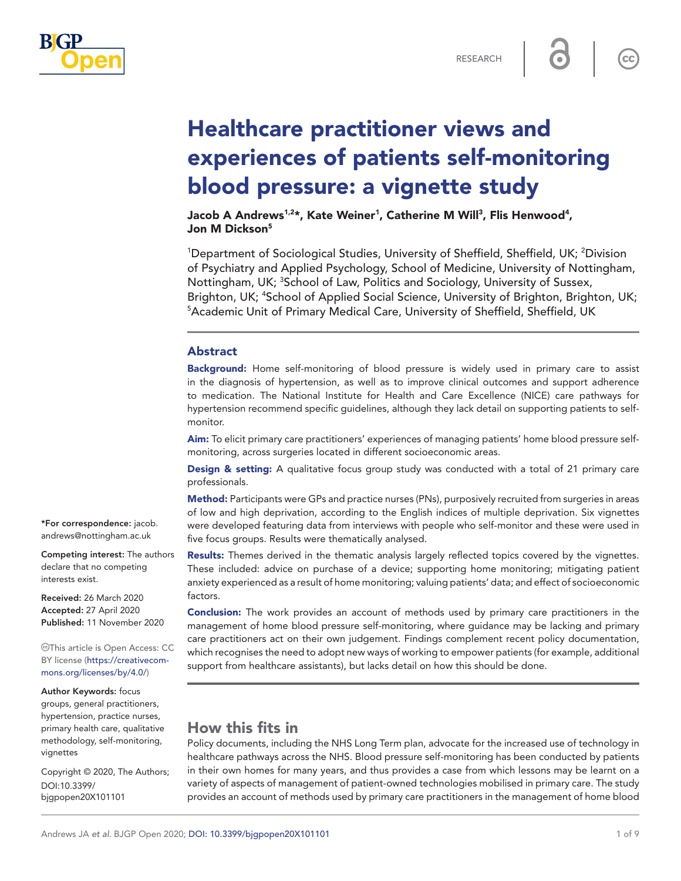

 $cc$ 

# Healthcare practitioner views and experiences of patients self-monitoring blood pressure: a vignette study

Jacob A Andrews1,2\*, Kate Weiner<sup>1</sup>, Catherine M Will<sup>3</sup>, Flis Henwood<sup>4</sup>, Jon M Dickson<sup>5</sup>

<sup>1</sup>Department of Sociological Studies, University of Sheffield, Sheffield, UK; <sup>2</sup>Division of Psychiatry and Applied Psychology, School of Medicine, University of Nottingham, Nottingham, UK; <sup>3</sup>School of Law, Politics and Sociology, University of Sussex, Brighton, UK; <sup>4</sup>School of Applied Social Science, University of Brighton, Brighton, UK;<br><sup>5</sup>Academic Unit of Primary Medical Care, University of Sheffield, Sheffield, UK <sup>5</sup> Academic Unit of Primary Medical Care, University of Sheffield, Sheffield, UK

#### Abstract

Background: Home self-monitoring of blood pressure is widely used in primary care to assist in the diagnosis of hypertension, as well as to improve clinical outcomes and support adherence to medication. The National Institute for Health and Care Excellence (NICE) care pathways for hypertension recommend specific guidelines, although they lack detail on supporting patients to selfmonitor.

Aim: To elicit primary care practitioners' experiences of managing patients' home blood pressure selfmonitoring, across surgeries located in different socioeconomic areas.

**Design & setting:** A qualitative focus group study was conducted with a total of 21 primary care professionals.

Method: Participants were GPs and practice nurses (PNs), purposively recruited from surgeries in areas of low and high deprivation, according to the English indices of multiple deprivation. Six vignettes were developed featuring data from interviews with people who self-monitor and these were used in five focus groups. Results were thematically analysed.

Results: Themes derived in the thematic analysis largely reflected topics covered by the vignettes. These included: advice on purchase of a device; supporting home monitoring; mitigating patient anxiety experienced as a result of home monitoring; valuing patients' data; and effect of socioeconomic factors.

**Conclusion:** The work provides an account of methods used by primary care practitioners in the management of home blood pressure self-monitoring, where guidance may be lacking and primary care practitioners act on their own judgement. Findings complement recent policy documentation, which recognises the need to adopt new ways of working to empower patients (for example, additional support from healthcare assistants), but lacks detail on how this should be done.

# How this fits in

Policy documents, including the NHS Long Term plan, advocate for the increased use of technology in healthcare pathways across the NHS. Blood pressure self-monitoring has been conducted by patients in their own homes for many years, and thus provides a case from which lessons may be learnt on a variety of aspects of management of patient-owned technologies mobilised in primary care. The study provides an account of methods used by primary care practitioners in the management of home blood

\*For correspondence: [jacob.](mailto:jacob.andrews@nottingham.ac.uk) [andrews@nottingham.ac.uk](mailto:jacob.andrews@nottingham.ac.uk)

Competing interest: The authors declare that no competing interests exist.

Received: 26 March 2020 Accepted: 27 April 2020 Published: 11 November 2020

This article is Open Access: CC BY license [\(https://creativecom](https://creativecommons.org/licenses/by/4.0/)[mons.org/licenses/by/4.0/\)](https://creativecommons.org/licenses/by/4.0/)

Author Keywords: focus

groups, general practitioners, hypertension, practice nurses, primary health care, qualitative methodology, self-monitoring, vignettes

Copyright © 2020, The Authors; DOI:10.3399/ bjgpopen20X101101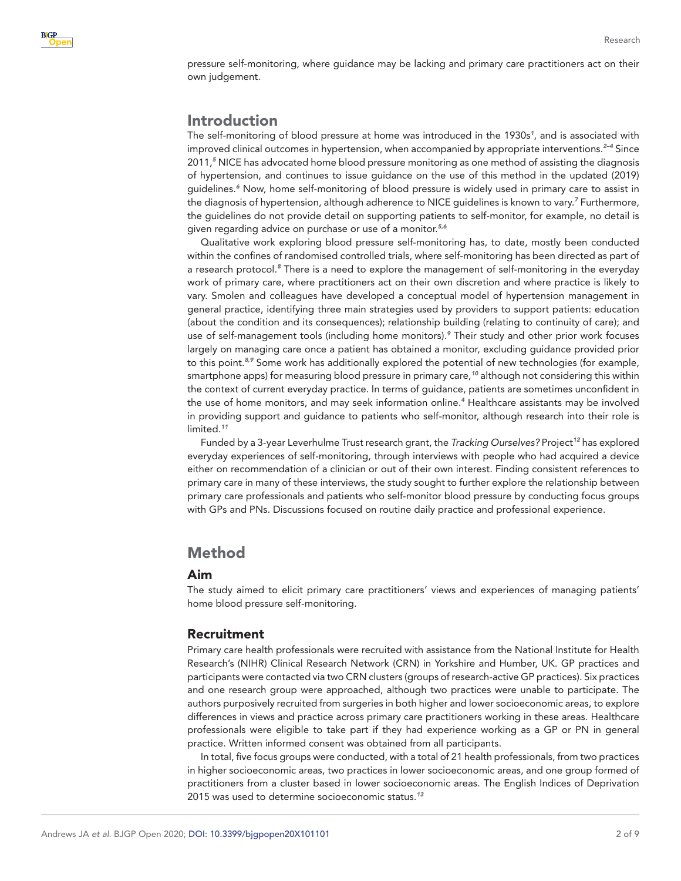pressure self-monitoring, where guidance may be lacking and primary care practitioners act on their own judgement.

# Introduction

The self-monitoring of blood pressure at home was introduced in the 1930s*[1](#page-8-0)* , and is associated with improved clinical outcomes in hypertension, when accompanied by appropriate interventions.*[2–4](#page-8-1)* Since 2011,*[5](#page-8-2)* NICE has advocated home blood pressure monitoring as one method of assisting the diagnosis of hypertension, and continues to issue guidance on the use of this method in the updated (2019) guidelines.*[6](#page-8-3)* Now, home self-monitoring of blood pressure is widely used in primary care to assist in the diagnosis of hypertension, although adherence to NICE guidelines is known to vary.*[7](#page-8-4)* Furthermore, the guidelines do not provide detail on supporting patients to self-monitor, for example, no detail is given regarding advice on purchase or use of a monitor.*[5,6](#page-8-2)*

Qualitative work exploring blood pressure self-monitoring has, to date, mostly been conducted within the confines of randomised controlled trials, where self-monitoring has been directed as part of a research protocol.*[8](#page-8-5)* There is a need to explore the management of self-monitoring in the everyday work of primary care, where practitioners act on their own discretion and where practice is likely to vary. Smolen and colleagues have developed a conceptual model of hypertension management in general practice, identifying three main strategies used by providers to support patients: education (about the condition and its consequences); relationship building (relating to continuity of care); and use of self-management tools (including home monitors).*[9](#page-8-6)* Their study and other prior work focuses largely on managing care once a patient has obtained a monitor, excluding guidance provided prior to this point.*[8,9](#page-8-5)* Some work has additionally explored the potential of new technologies (for example, smartphone apps) for measuring blood pressure in primary care,*[10](#page-8-7)* although not considering this within the context of current everyday practice. In terms of guidance, patients are sometimes unconfident in the use of home monitors, and may seek information online.*[4](#page-8-8)* Healthcare assistants may be involved in providing support and guidance to patients who self-monitor, although research into their role is limited.*[11](#page-8-9)*

Funded by a 3-year Leverhulme Trust research grant, the *Tracking Ourselves?* Project*[12](#page-8-10)* has explored everyday experiences of self-monitoring, through interviews with people who had acquired a device either on recommendation of a clinician or out of their own interest. Finding consistent references to primary care in many of these interviews, the study sought to further explore the relationship between primary care professionals and patients who self-monitor blood pressure by conducting focus groups with GPs and PNs. Discussions focused on routine daily practice and professional experience.

# Method

# Aim

The study aimed to elicit primary care practitioners' views and experiences of managing patients' home blood pressure self-monitoring.

# Recruitment

Primary care health professionals were recruited with assistance from the National Institute for Health Research's (NIHR) Clinical Research Network (CRN) in Yorkshire and Humber, UK. GP practices and participants were contacted via two CRN clusters (groups of research-active GP practices). Six practices and one research group were approached, although two practices were unable to participate. The authors purposively recruited from surgeries in both higher and lower socioeconomic areas, to explore differences in views and practice across primary care practitioners working in these areas. Healthcare professionals were eligible to take part if they had experience working as a GP or PN in general practice. Written informed consent was obtained from all participants.

In total, five focus groups were conducted, with a total of 21 health professionals, from two practices in higher socioeconomic areas, two practices in lower socioeconomic areas, and one group formed of practitioners from a cluster based in lower socioeconomic areas. The English Indices of Deprivation 2015 was used to determine socioeconomic status.*[13](#page-9-0)*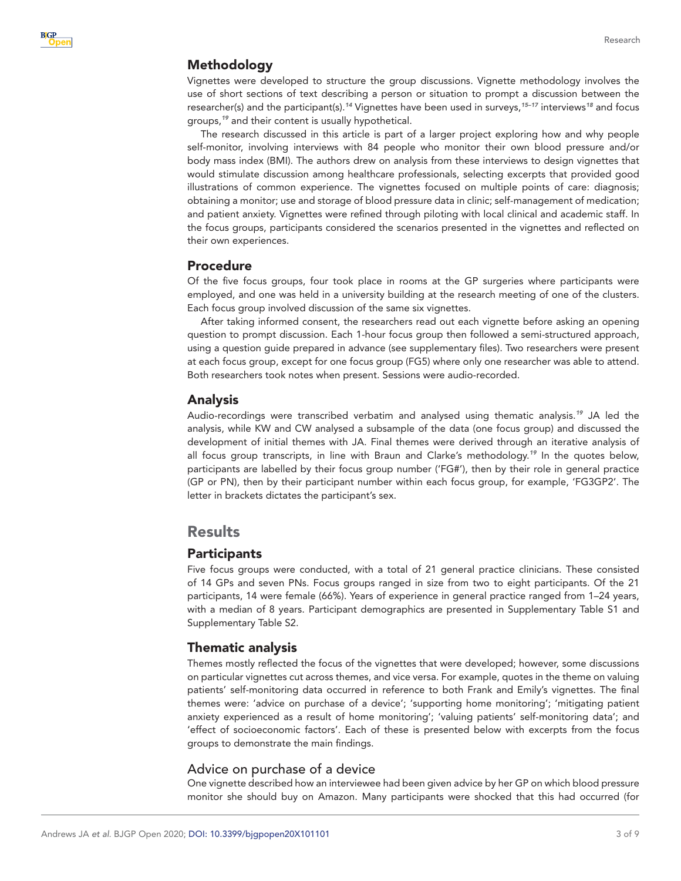# Methodology

Vignettes were developed to structure the group discussions. Vignette methodology involves the use of short sections of text describing a person or situation to prompt a discussion between the researcher(s) and the participant(s).*[14](#page-9-1)* Vignettes have been used in surveys,*[15–17](#page-9-2)* interviews*[18](#page-9-3)* and focus groups,*[19](#page-9-4)* and their content is usually hypothetical.

The research discussed in this article is part of a larger project exploring how and why people self-monitor, involving interviews with 84 people who monitor their own blood pressure and/or body mass index (BMI). The authors drew on analysis from these interviews to design vignettes that would stimulate discussion among healthcare professionals, selecting excerpts that provided good illustrations of common experience. The vignettes focused on multiple points of care: diagnosis; obtaining a monitor; use and storage of blood pressure data in clinic; self-management of medication; and patient anxiety. Vignettes were refined through piloting with local clinical and academic staff. In the focus groups, participants considered the scenarios presented in the vignettes and reflected on their own experiences.

#### Procedure

Of the five focus groups, four took place in rooms at the GP surgeries where participants were employed, and one was held in a university building at the research meeting of one of the clusters. Each focus group involved discussion of the same six vignettes.

After taking informed consent, the researchers read out each vignette before asking an opening question to prompt discussion. Each 1-hour focus group then followed a semi-structured approach, using a question guide prepared in advance (see supplementary files). Two researchers were present at each focus group, except for one focus group (FG5) where only one researcher was able to attend. Both researchers took notes when present. Sessions were audio-recorded.

#### Analysis

Audio-recordings were transcribed verbatim and analysed using thematic analysis.*[19](#page-9-4)* JA led the analysis, while KW and CW analysed a subsample of the data (one focus group) and discussed the development of initial themes with JA. Final themes were derived through an iterative analysis of all focus group transcripts, in line with Braun and Clarke's methodology.*[19](#page-9-4)* In the quotes below, participants are labelled by their focus group number ('FG#'), then by their role in general practice (GP or PN), then by their participant number within each focus group, for example, 'FG3GP2'. The letter in brackets dictates the participant's sex.

# **Results**

# **Participants**

Five focus groups were conducted, with a total of 21 general practice clinicians. These consisted of 14 GPs and seven PNs. Focus groups ranged in size from two to eight participants. Of the 21 participants, 14 were female (66%). Years of experience in general practice ranged from 1–24 years, with a median of 8 years. Participant demographics are presented in Supplementary Table S1 and Supplementary Table S2.

#### Thematic analysis

Themes mostly reflected the focus of the vignettes that were developed; however, some discussions on particular vignettes cut across themes, and vice versa. For example, quotes in the theme on valuing patients' self-monitoring data occurred in reference to both Frank and Emily's vignettes. The final themes were: 'advice on purchase of a device'; 'supporting home monitoring'; 'mitigating patient anxiety experienced as a result of home monitoring'; 'valuing patients' self-monitoring data'; and 'effect of socioeconomic factors'. Each of these is presented below with excerpts from the focus groups to demonstrate the main findings.

# Advice on purchase of a device

One vignette described how an interviewee had been given advice by her GP on which blood pressure monitor she should buy on Amazon. Many participants were shocked that this had occurred (for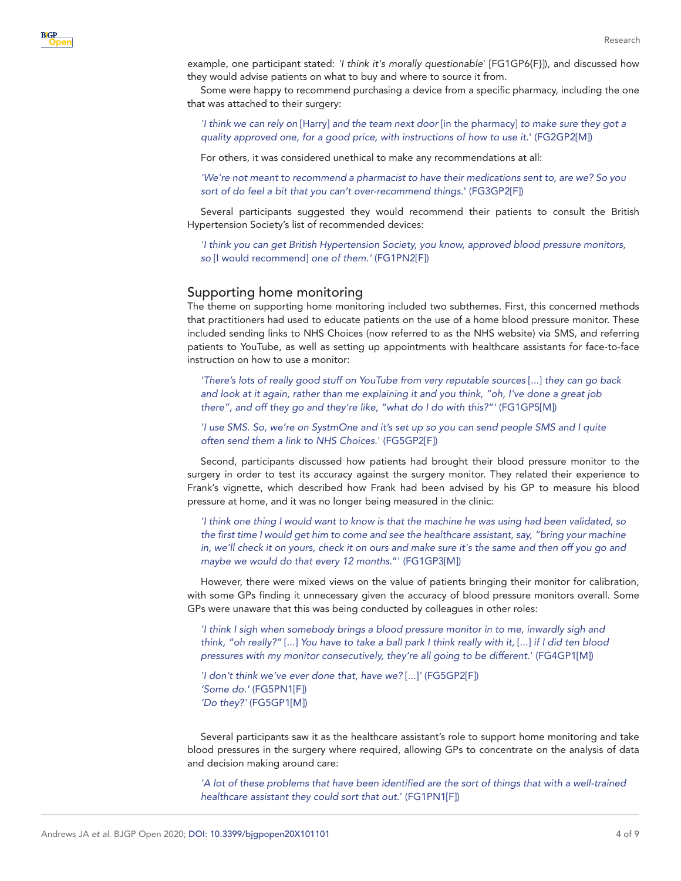example, one participant stated: *'I think it's morally questionable*' [FG1GP6{F}]), and discussed how they would advise patients on what to buy and where to source it from.

Some were happy to recommend purchasing a device from a specific pharmacy, including the one that was attached to their surgery:

*'I think we can rely on* [Harry] *and the team next door* [in the pharmacy] *to make sure they got a quality approved one, for a good price, with instructions of how to use it*.' (FG2GP2[M])

For others, it was considered unethical to make any recommendations at all:

*'We're not meant to recommend a pharmacist to have their medications sent to, are we? So you sort of do feel a bit that you can't over-recommend things*.' (FG3GP2[F])

Several participants suggested they would recommend their patients to consult the British Hypertension Society's list of recommended devices:

*'I think you can get British Hypertension Society, you know, approved blood pressure monitors, so* [I would recommend] *one of them.'* (FG1PN2[F])

#### Supporting home monitoring

**BIGP** 

The theme on supporting home monitoring included two subthemes. First, this concerned methods that practitioners had used to educate patients on the use of a home blood pressure monitor. These included sending links to NHS Choices (now referred to as the NHS website) via SMS, and referring patients to YouTube, as well as setting up appointments with healthcare assistants for face-to-face instruction on how to use a monitor:

*'There's lots of really good stuff on YouTube from very reputable sources* [...] *they can go back and look at it again, rather than me explaining it and you think, "oh, I've done a great job there", and off they go and they're like, "what do I do with this?"'* (FG1GP5[M])

*'I use SMS. So, we're on SystmOne and it's set up so you can send people SMS and I quite often send them a link to NHS Choices*.' (FG5GP2[F])

Second, participants discussed how patients had brought their blood pressure monitor to the surgery in order to test its accuracy against the surgery monitor. They related their experience to Frank's vignette, which described how Frank had been advised by his GP to measure his blood pressure at home, and it was no longer being measured in the clinic:

*'I think one thing I would want to know is that the machine he was using had been validated, so the first time I would get him to come and see the healthcare assistant, say, "bring your machine in, we'll check it on yours, check it on ours and make sure it's the same and then off you go and maybe we would do that every 12 months*."' (FG1GP3[M])

However, there were mixed views on the value of patients bringing their monitor for calibration, with some GPs finding it unnecessary given the accuracy of blood pressure monitors overall. Some GPs were unaware that this was being conducted by colleagues in other roles:

*'I think I sigh when somebody brings a blood pressure monitor in to me, inwardly sigh and think, "oh really?"* [...] *You have to take a ball park I think really with it,* [...] *if I did ten blood pressures with my monitor consecutively, they're all going to be different*.' (FG4GP1[M])

*'I don't think we've ever done that, have we?* [...]*'* (FG5GP2[F]) *'Some do.'* (FG5PN1[F]) *'Do they?'* (FG5GP1[M])

Several participants saw it as the healthcare assistant's role to support home monitoring and take blood pressures in the surgery where required, allowing GPs to concentrate on the analysis of data and decision making around care:

'A lot of these problems that have been identified are the sort of things that with a well-trained *healthcare assistant they could sort that out*.' (FG1PN1[F])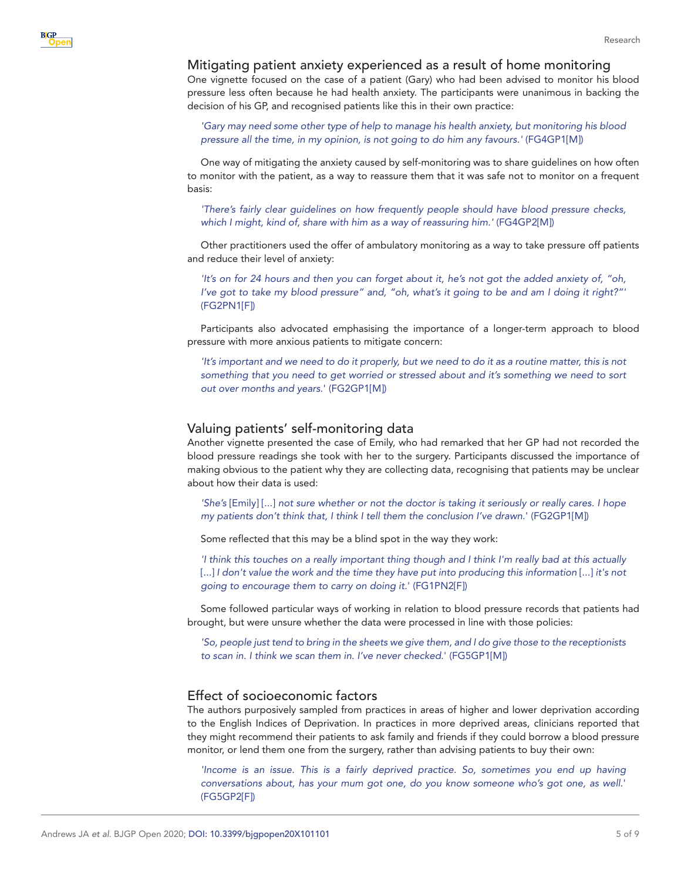#### Mitigating patient anxiety experienced as a result of home monitoring

One vignette focused on the case of a patient (Gary) who had been advised to monitor his blood pressure less often because he had health anxiety. The participants were unanimous in backing the decision of his GP, and recognised patients like this in their own practice:

*'Gary may need some other type of help to manage his health anxiety, but monitoring his blood pressure all the time, in my opinion, is not going to do him any favours.'* (FG4GP1[M])

One way of mitigating the anxiety caused by self-monitoring was to share guidelines on how often to monitor with the patient, as a way to reassure them that it was safe not to monitor on a frequent basis:

*'There's fairly clear guidelines on how frequently people should have blood pressure checks, which I might, kind of, share with him as a way of reassuring him.'* (FG4GP2[M])

Other practitioners used the offer of ambulatory monitoring as a way to take pressure off patients and reduce their level of anxiety:

*'It's on for 24 hours and then you can forget about it, he's not got the added anxiety of, "oh, I've got to take my blood pressure" and, "oh, what's it going to be and am I doing it right?"'* (FG2PN1[F])

Participants also advocated emphasising the importance of a longer-term approach to blood pressure with more anxious patients to mitigate concern:

*'It's important and we need to do it properly, but we need to do it as a routine matter, this is not something that you need to get worried or stressed about and it's something we need to sort out over months and years*.' (FG2GP1[M])

#### Valuing patients' self-monitoring data

Another vignette presented the case of Emily, who had remarked that her GP had not recorded the blood pressure readings she took with her to the surgery. Participants discussed the importance of making obvious to the patient why they are collecting data, recognising that patients may be unclear about how their data is used:

*'She's* [Emily] [...] *not sure whether or not the doctor is taking it seriously or really cares. I hope my patients don't think that, I think I tell them the conclusion I've drawn*.' (FG2GP1[M])

Some reflected that this may be a blind spot in the way they work:

*'I think this touches on a really important thing though and I think I'm really bad at this actually* [...] *I don't value the work and the time they have put into producing this information* [...] *it's not going to encourage them to carry on doing it*.' (FG1PN2[F])

Some followed particular ways of working in relation to blood pressure records that patients had brought, but were unsure whether the data were processed in line with those policies:

*'So, people just tend to bring in the sheets we give them, and I do give those to the receptionists to scan in. I think we scan them in. I've never checked*.' (FG5GP1[M])

#### Effect of socioeconomic factors

The authors purposively sampled from practices in areas of higher and lower deprivation according to the English Indices of Deprivation. In practices in more deprived areas, clinicians reported that they might recommend their patients to ask family and friends if they could borrow a blood pressure monitor, or lend them one from the surgery, rather than advising patients to buy their own:

*'Income is an issue. This is a fairly deprived practice. So, sometimes you end up having conversations about, has your mum got one, do you know someone who's got one, as well*.' (FG5GP2[F])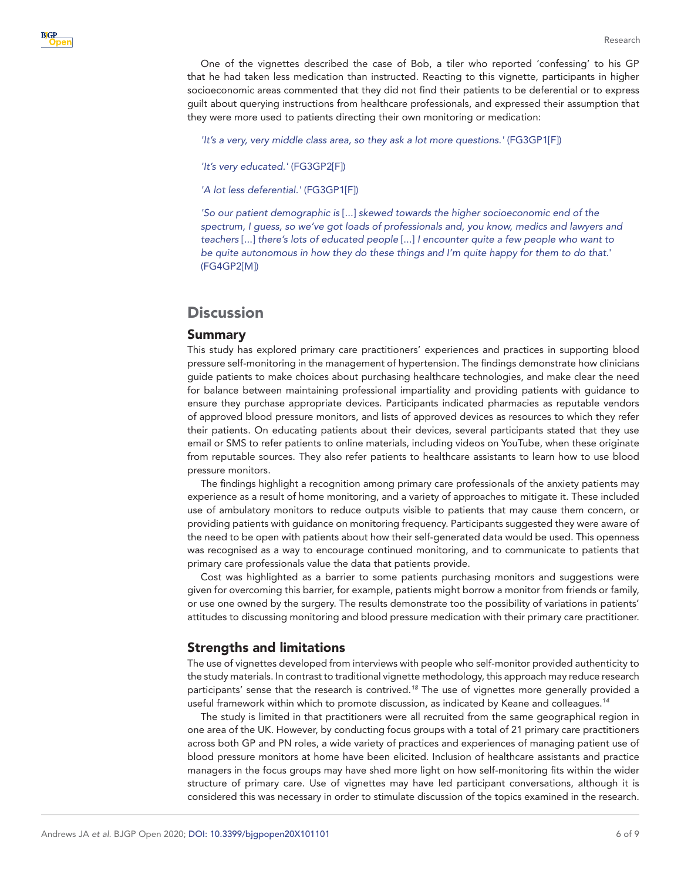One of the vignettes described the case of Bob, a tiler who reported 'confessing' to his GP that he had taken less medication than instructed. Reacting to this vignette, participants in higher socioeconomic areas commented that they did not find their patients to be deferential or to express guilt about querying instructions from healthcare professionals, and expressed their assumption that they were more used to patients directing their own monitoring or medication:

*'It's a very, very middle class area, so they ask a lot more questions.'* (FG3GP1[F])

*'It's very educated.'* (FG3GP2[F])

*'A lot less deferential.'* (FG3GP1[F])

*'So our patient demographic is* [...] *skewed towards the higher socioeconomic end of the*  spectrum, I guess, so we've got loads of professionals and, you know, medics and lawyers and *teachers* [...] *there's lots of educated people* [...] *I encounter quite a few people who want to be quite autonomous in how they do these things and I'm quite happy for them to do that*.' (FG4GP2[M])

# **Discussion**

#### Summary

This study has explored primary care practitioners' experiences and practices in supporting blood pressure self-monitoring in the management of hypertension. The findings demonstrate how clinicians guide patients to make choices about purchasing healthcare technologies, and make clear the need for balance between maintaining professional impartiality and providing patients with guidance to ensure they purchase appropriate devices. Participants indicated pharmacies as reputable vendors of approved blood pressure monitors, and lists of approved devices as resources to which they refer their patients. On educating patients about their devices, several participants stated that they use email or SMS to refer patients to online materials, including videos on YouTube, when these originate from reputable sources. They also refer patients to healthcare assistants to learn how to use blood pressure monitors.

The findings highlight a recognition among primary care professionals of the anxiety patients may experience as a result of home monitoring, and a variety of approaches to mitigate it. These included use of ambulatory monitors to reduce outputs visible to patients that may cause them concern, or providing patients with guidance on monitoring frequency. Participants suggested they were aware of the need to be open with patients about how their self-generated data would be used. This openness was recognised as a way to encourage continued monitoring, and to communicate to patients that primary care professionals value the data that patients provide.

Cost was highlighted as a barrier to some patients purchasing monitors and suggestions were given for overcoming this barrier, for example, patients might borrow a monitor from friends or family, or use one owned by the surgery. The results demonstrate too the possibility of variations in patients' attitudes to discussing monitoring and blood pressure medication with their primary care practitioner.

#### Strengths and limitations

The use of vignettes developed from interviews with people who self-monitor provided authenticity to the study materials. In contrast to traditional vignette methodology, this approach may reduce research participants' sense that the research is contrived.*[18](#page-9-3)* The use of vignettes more generally provided a useful framework within which to promote discussion, as indicated by Keane and colleagues.*[14](#page-9-1)*

The study is limited in that practitioners were all recruited from the same geographical region in one area of the UK. However, by conducting focus groups with a total of 21 primary care practitioners across both GP and PN roles, a wide variety of practices and experiences of managing patient use of blood pressure monitors at home have been elicited. Inclusion of healthcare assistants and practice managers in the focus groups may have shed more light on how self-monitoring fits within the wider structure of primary care. Use of vignettes may have led participant conversations, although it is considered this was necessary in order to stimulate discussion of the topics examined in the research.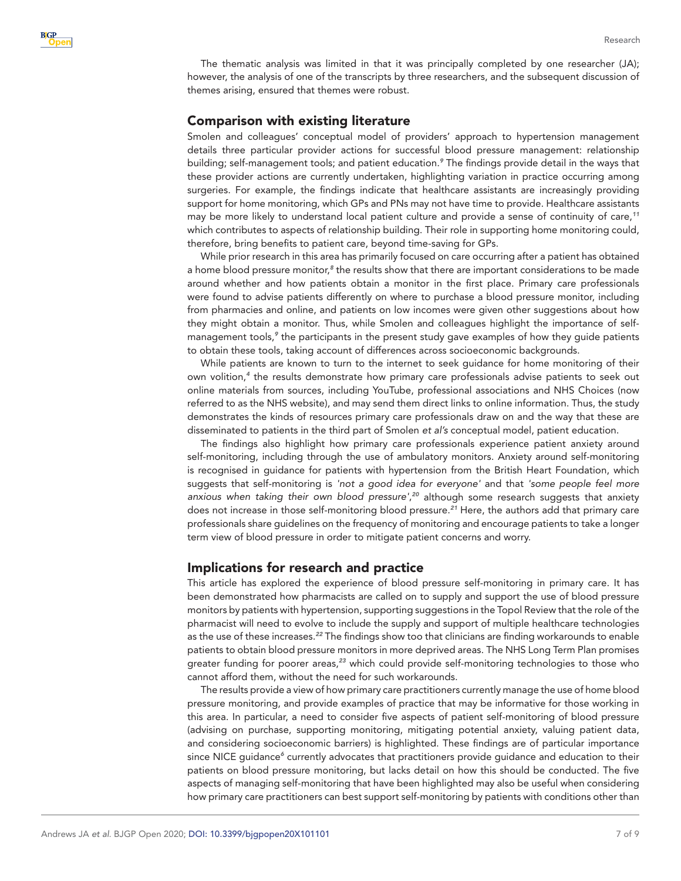The thematic analysis was limited in that it was principally completed by one researcher (JA); however, the analysis of one of the transcripts by three researchers, and the subsequent discussion of themes arising, ensured that themes were robust.

### Comparison with existing literature

Smolen and colleagues' conceptual model of providers' approach to hypertension management details three particular provider actions for successful blood pressure management: relationship building; self-management tools; and patient education.*[9](#page-8-6)* The findings provide detail in the ways that these provider actions are currently undertaken, highlighting variation in practice occurring among surgeries. For example, the findings indicate that healthcare assistants are increasingly providing support for home monitoring, which GPs and PNs may not have time to provide. Healthcare assistants may be more likely to understand local patient culture and provide a sense of continuity of care,*[11](#page-8-9)* which contributes to aspects of relationship building. Their role in supporting home monitoring could, therefore, bring benefits to patient care, beyond time-saving for GPs.

While prior research in this area has primarily focused on care occurring after a patient has obtained a home blood pressure monitor,<sup>[8](#page-8-5)</sup> the results show that there are important considerations to be made around whether and how patients obtain a monitor in the first place. Primary care professionals were found to advise patients differently on where to purchase a blood pressure monitor, including from pharmacies and online, and patients on low incomes were given other suggestions about how they might obtain a monitor. Thus, while Smolen and colleagues highlight the importance of self-management tools,<sup>[9](#page-8-6)</sup> the participants in the present study gave examples of how they guide patients to obtain these tools, taking account of differences across socioeconomic backgrounds.

While patients are known to turn to the internet to seek guidance for home monitoring of their own volition,*[4](#page-8-8)* the results demonstrate how primary care professionals advise patients to seek out online materials from sources, including YouTube, professional associations and NHS Choices (now referred to as the NHS website), and may send them direct links to online information. Thus, the study demonstrates the kinds of resources primary care professionals draw on and the way that these are disseminated to patients in the third part of Smolen *et al's* conceptual model, patient education.

The findings also highlight how primary care professionals experience patient anxiety around self-monitoring, including through the use of ambulatory monitors. Anxiety around self-monitoring is recognised in guidance for patients with hypertension from the British Heart Foundation, which suggests that self-monitoring is *'not a good idea for everyone'* and that *'some people feel more anxious when taking their own blood pressure'*, *[20](#page-9-5)* although some research suggests that anxiety does not increase in those self-monitoring blood pressure.*[21](#page-9-6)* Here, the authors add that primary care professionals share guidelines on the frequency of monitoring and encourage patients to take a longer term view of blood pressure in order to mitigate patient concerns and worry.

# Implications for research and practice

This article has explored the experience of blood pressure self-monitoring in primary care. It has been demonstrated how pharmacists are called on to supply and support the use of blood pressure monitors by patients with hypertension, supporting suggestions in the Topol Review that the role of the pharmacist will need to evolve to include the supply and support of multiple healthcare technologies as the use of these increases.*[22](#page-9-7)* The findings show too that clinicians are finding workarounds to enable patients to obtain blood pressure monitors in more deprived areas. The NHS Long Term Plan promises greater funding for poorer areas,*[23](#page-9-8)* which could provide self-monitoring technologies to those who cannot afford them, without the need for such workarounds.

The results provide a view of how primary care practitioners currently manage the use of home blood pressure monitoring, and provide examples of practice that may be informative for those working in this area. In particular, a need to consider five aspects of patient self-monitoring of blood pressure (advising on purchase, supporting monitoring, mitigating potential anxiety, valuing patient data, and considering socioeconomic barriers) is highlighted. These findings are of particular importance since NICE guidance<sup>[6](#page-8-3)</sup> currently advocates that practitioners provide guidance and education to their patients on blood pressure monitoring, but lacks detail on how this should be conducted. The five aspects of managing self-monitoring that have been highlighted may also be useful when considering how primary care practitioners can best support self-monitoring by patients with conditions other than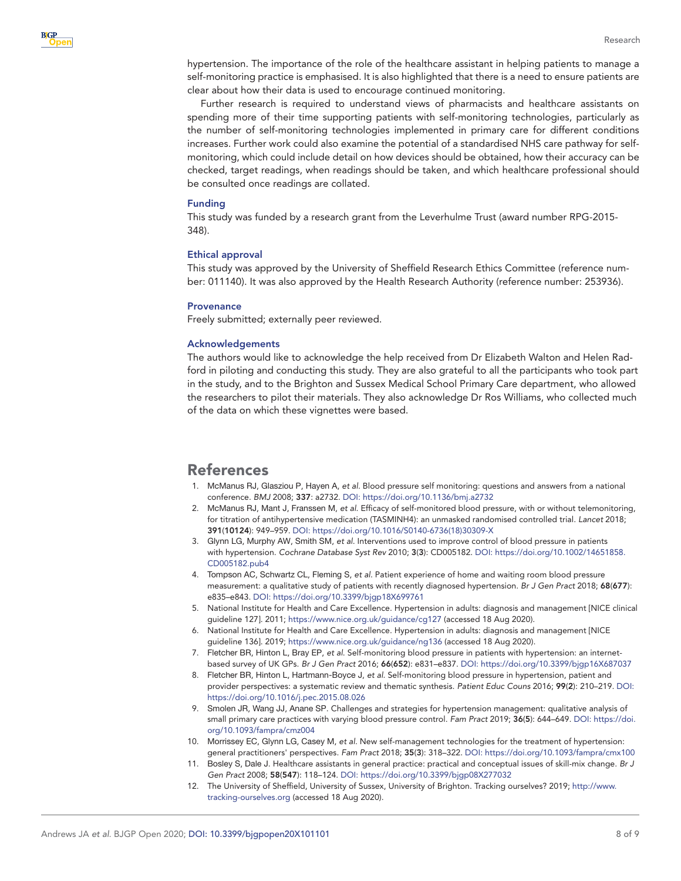hypertension. The importance of the role of the healthcare assistant in helping patients to manage a self-monitoring practice is emphasised. It is also highlighted that there is a need to ensure patients are clear about how their data is used to encourage continued monitoring.

Further research is required to understand views of pharmacists and healthcare assistants on spending more of their time supporting patients with self-monitoring technologies, particularly as the number of self-monitoring technologies implemented in primary care for different conditions increases. Further work could also examine the potential of a standardised NHS care pathway for selfmonitoring, which could include detail on how devices should be obtained, how their accuracy can be checked, target readings, when readings should be taken, and which healthcare professional should be consulted once readings are collated.

#### Funding

This study was funded by a research grant from the Leverhulme Trust (award number RPG-2015- 348).

#### Ethical approval

This study was approved by the University of Sheffield Research Ethics Committee (reference number: 011140). It was also approved by the Health Research Authority (reference number: 253936).

#### **Provenance**

Freely submitted; externally peer reviewed.

#### Acknowledgements

The authors would like to acknowledge the help received from Dr Elizabeth Walton and Helen Radford in piloting and conducting this study. They are also grateful to all the participants who took part in the study, and to the Brighton and Sussex Medical School Primary Care department, who allowed the researchers to pilot their materials. They also acknowledge Dr Ros Williams, who collected much of the data on which these vignettes were based.

# References

- <span id="page-8-0"></span>1. McManus RJ, Glasziou P, Hayen A, *et al*. Blood pressure self monitoring: questions and answers from a national conference. *BMJ* 2008; 337: a2732. DOI:<https://doi.org/10.1136/bmj.a2732>
- <span id="page-8-1"></span>2. McManus RJ, Mant J, Franssen M, *et al*. Efficacy of self-monitored blood pressure, with or without telemonitoring, for titration of antihypertensive medication (TASMINH4): an unmasked randomised controlled trial. *Lancet* 2018; 391(10124): 949–959. DOI: [https://doi.org/10.1016/S0140-6736\(18\)30309-X](https://doi.org/10.1016/S0140-6736(18)30309-X)
- 3. Glynn LG, Murphy AW, Smith SM, *et al*. Interventions used to improve control of blood pressure in patients with hypertension. *Cochrane Database Syst Rev* 2010; 3(3): CD005182. DOI: [https://doi.org/10.1002/14651858.](https://doi.org/10.1002/14651858.CD005182.pub4) [CD005182.pub4](https://doi.org/10.1002/14651858.CD005182.pub4)
- <span id="page-8-8"></span>4. Tompson AC, Schwartz CL, Fleming S, *et al*. Patient experience of home and waiting room blood pressure measurement: a qualitative study of patients with recently diagnosed hypertension. *Br J Gen Pract* 2018; 68(677): e835–e843. DOI: <https://doi.org/10.3399/bjgp18X699761>
- <span id="page-8-2"></span>5. National Institute for Health and Care Excellence. Hypertension in adults: diagnosis and management [NICE clinical guideline 127]. 2011;<https://www.nice.org.uk/guidance/cg127> (accessed 18 Aug 2020).
- <span id="page-8-3"></span>6. National Institute for Health and Care Excellence. Hypertension in adults: diagnosis and management [NICE guideline 136]. 2019;<https://www.nice.org.uk/guidance/ng136>(accessed 18 Aug 2020).
- <span id="page-8-4"></span>7. Fletcher BR, Hinton L, Bray EP, *et al*. Self-monitoring blood pressure in patients with hypertension: an internetbased survey of UK GPs. *Br J Gen Pract* 2016; 66(652): e831–e837. DOI:<https://doi.org/10.3399/bjgp16X687037>
- <span id="page-8-5"></span>8. Fletcher BR, Hinton L, Hartmann-Boyce J, *et al*. Self-monitoring blood pressure in hypertension, patient and provider perspectives: a systematic review and thematic synthesis. *Patient Educ Couns* 2016; 99(2): 210–219. DOI: <https://doi.org/10.1016/j.pec.2015.08.026>
- <span id="page-8-6"></span>9. Smolen JR, Wang JJ, Anane SP. Challenges and strategies for hypertension management: qualitative analysis of small primary care practices with varying blood pressure control. *Fam Pract* 2019; 36(5): 644–649. DOI: [https://doi.](https://doi.org/10.1093/fampra/cmz004) [org/10.1093/fampra/cmz004](https://doi.org/10.1093/fampra/cmz004)
- <span id="page-8-7"></span>10. Morrissey EC, Glynn LG, Casey M, *et al*. New self-management technologies for the treatment of hypertension: general practitioners' perspectives. *Fam Pract* 2018; 35(3): 318–322. DOI:<https://doi.org/10.1093/fampra/cmx100>
- <span id="page-8-9"></span>11. Bosley S, Dale J. Healthcare assistants in general practice: practical and conceptual issues of skill-mix change. *Br J Gen Pract* 2008; 58(547): 118–124. DOI:<https://doi.org/10.3399/bjgp08X277032>
- <span id="page-8-10"></span>12. The University of Sheffield, University of Sussex, University of Brighton. Tracking ourselves? 2019; [http://www.](http://www.tracking-ourselves.org) [tracking-ourselves.org](http://www.tracking-ourselves.org) (accessed 18 Aug 2020).